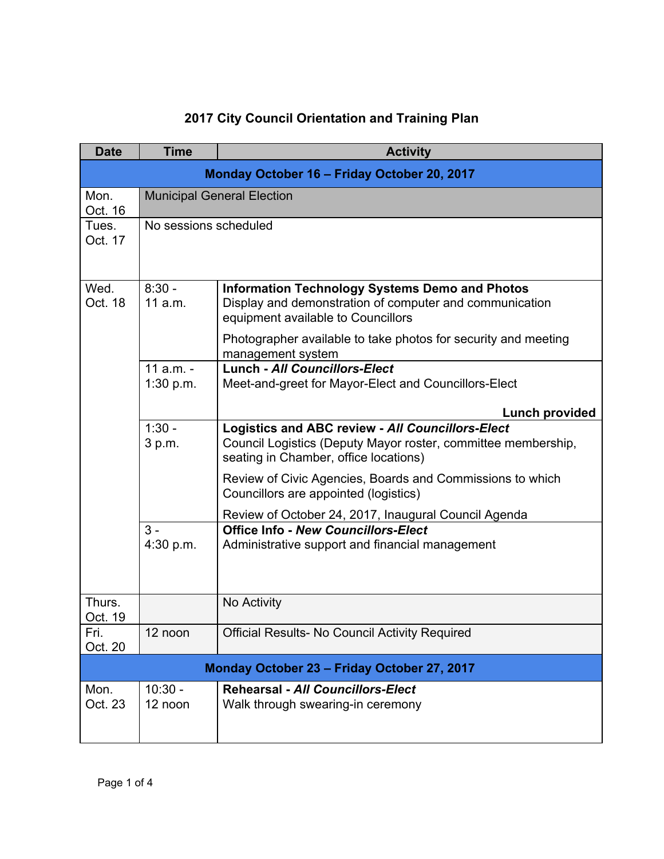## **2017 City Council Orientation and Training Plan**

| <b>Date</b>                                 | <b>Time</b>                       | <b>Activity</b>                                                                                                                                            |  |  |
|---------------------------------------------|-----------------------------------|------------------------------------------------------------------------------------------------------------------------------------------------------------|--|--|
| Monday October 16 - Friday October 20, 2017 |                                   |                                                                                                                                                            |  |  |
| Mon.<br>Oct. 16                             | <b>Municipal General Election</b> |                                                                                                                                                            |  |  |
| Tues.<br>Oct. 17                            | No sessions scheduled             |                                                                                                                                                            |  |  |
| Wed.<br>Oct. 18                             | $8:30 -$<br>11 a.m.               | <b>Information Technology Systems Demo and Photos</b><br>Display and demonstration of computer and communication<br>equipment available to Councillors     |  |  |
|                                             |                                   | Photographer available to take photos for security and meeting<br>management system                                                                        |  |  |
|                                             | $11$ a.m. -<br>1:30 p.m.          | <b>Lunch - All Councillors-Elect</b><br>Meet-and-greet for Mayor-Elect and Councillors-Elect                                                               |  |  |
|                                             |                                   | <b>Lunch provided</b>                                                                                                                                      |  |  |
|                                             | $1:30 -$<br>3 p.m.                | Logistics and ABC review - All Councillors-Elect<br>Council Logistics (Deputy Mayor roster, committee membership,<br>seating in Chamber, office locations) |  |  |
|                                             |                                   | Review of Civic Agencies, Boards and Commissions to which<br>Councillors are appointed (logistics)                                                         |  |  |
|                                             |                                   | Review of October 24, 2017, Inaugural Council Agenda                                                                                                       |  |  |
|                                             | $3 -$<br>4:30 p.m.                | <b>Office Info - New Councillors-Elect</b><br>Administrative support and financial management                                                              |  |  |
| Thurs.<br>Oct. 19                           |                                   | No Activity                                                                                                                                                |  |  |
| Fri.<br>Oct. 20                             | 12 noon                           | <b>Official Results- No Council Activity Required</b>                                                                                                      |  |  |
| Monday October 23 - Friday October 27, 2017 |                                   |                                                                                                                                                            |  |  |
| Mon.<br>Oct. 23                             | $10:30 -$<br>12 noon              | <b>Rehearsal - All Councillors-Elect</b><br>Walk through swearing-in ceremony                                                                              |  |  |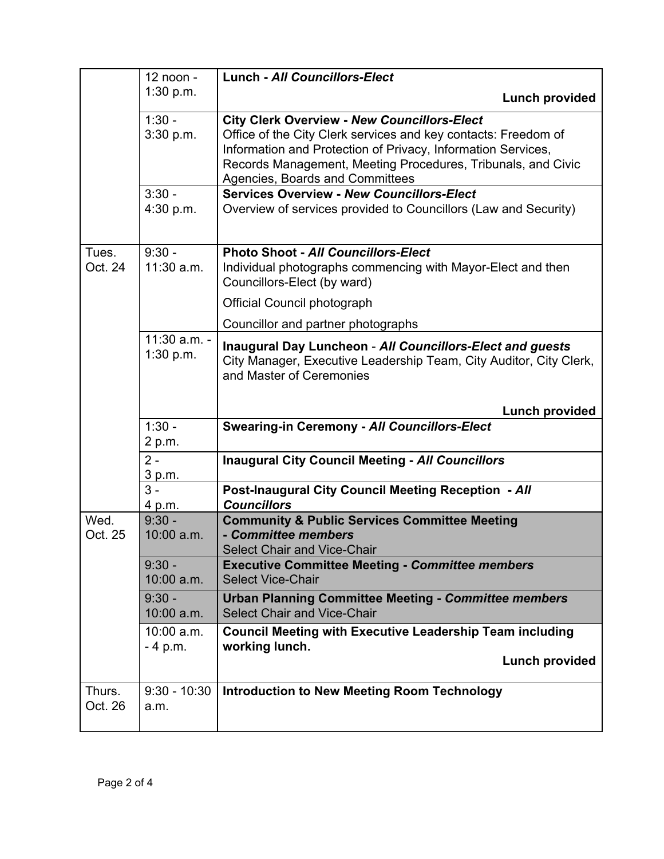|                   | 12 noon -                 | <b>Lunch - All Councillors-Elect</b>                                                                                                                                                                                                                                                    |
|-------------------|---------------------------|-----------------------------------------------------------------------------------------------------------------------------------------------------------------------------------------------------------------------------------------------------------------------------------------|
|                   | 1:30 p.m.                 | <b>Lunch provided</b>                                                                                                                                                                                                                                                                   |
|                   | $1:30 -$<br>3:30 p.m.     | <b>City Clerk Overview - New Councillors-Elect</b><br>Office of the City Clerk services and key contacts: Freedom of<br>Information and Protection of Privacy, Information Services,<br>Records Management, Meeting Procedures, Tribunals, and Civic<br>Agencies, Boards and Committees |
|                   | $3:30 -$<br>4:30 p.m.     | <b>Services Overview - New Councillors-Elect</b><br>Overview of services provided to Councillors (Law and Security)                                                                                                                                                                     |
| Tues.<br>Oct. 24  | $9:30 -$<br>11:30 a.m.    | <b>Photo Shoot - All Councillors-Elect</b><br>Individual photographs commencing with Mayor-Elect and then<br>Councillors-Elect (by ward)                                                                                                                                                |
|                   |                           | Official Council photograph                                                                                                                                                                                                                                                             |
|                   |                           | Councillor and partner photographs                                                                                                                                                                                                                                                      |
|                   | 11:30 a.m. -<br>1:30 p.m. | <b>Inaugural Day Luncheon - All Councillors-Elect and guests</b><br>City Manager, Executive Leadership Team, City Auditor, City Clerk,<br>and Master of Ceremonies                                                                                                                      |
|                   |                           | <b>Lunch provided</b>                                                                                                                                                                                                                                                                   |
|                   | $1:30 -$<br>2 p.m.        | <b>Swearing-in Ceremony - All Councillors-Elect</b>                                                                                                                                                                                                                                     |
|                   | $2 -$<br>3 p.m.           | <b>Inaugural City Council Meeting - All Councillors</b>                                                                                                                                                                                                                                 |
|                   | $3 -$<br>4 p.m.           | <b>Post-Inaugural City Council Meeting Reception - All</b><br><b>Councillors</b>                                                                                                                                                                                                        |
| Wed.<br>Oct. 25   | $9:30 -$<br>10:00 a.m.    | <b>Community &amp; Public Services Committee Meeting</b><br>- Committee members<br>Select Chair and Vice-Chair                                                                                                                                                                          |
|                   | $9:30 -$<br>10:00 a.m.    | <b>Executive Committee Meeting - Committee members</b><br><b>Select Vice-Chair</b>                                                                                                                                                                                                      |
|                   | $9:30 -$<br>10:00 a.m.    | <b>Urban Planning Committee Meeting - Committee members</b><br><b>Select Chair and Vice-Chair</b>                                                                                                                                                                                       |
|                   | 10:00 a.m.<br>$-4$ p.m.   | <b>Council Meeting with Executive Leadership Team including</b><br>working lunch.                                                                                                                                                                                                       |
|                   |                           | <b>Lunch provided</b>                                                                                                                                                                                                                                                                   |
| Thurs.<br>Oct. 26 | $9:30 - 10:30$<br>a.m.    | <b>Introduction to New Meeting Room Technology</b>                                                                                                                                                                                                                                      |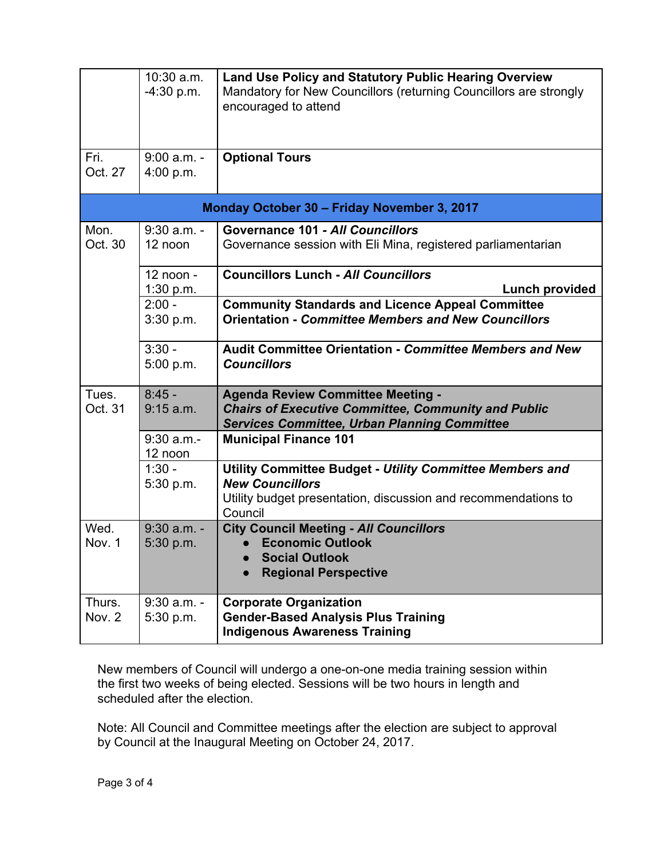|                                             | 10:30 a.m.<br>$-4:30$ p.m. | <b>Land Use Policy and Statutory Public Hearing Overview</b><br>Mandatory for New Councillors (returning Councillors are strongly<br>encouraged to attend       |  |  |
|---------------------------------------------|----------------------------|-----------------------------------------------------------------------------------------------------------------------------------------------------------------|--|--|
| Fri.<br>Oct. 27                             | $9:00$ a.m. -<br>4:00 p.m. | <b>Optional Tours</b>                                                                                                                                           |  |  |
| Monday October 30 - Friday November 3, 2017 |                            |                                                                                                                                                                 |  |  |
| Mon.<br>Oct. 30                             | $9:30$ a.m. -<br>12 noon   | <b>Governance 101 - All Councillors</b><br>Governance session with Eli Mina, registered parliamentarian                                                         |  |  |
|                                             | 12 noon -<br>1:30 p.m.     | <b>Councillors Lunch - All Councillors</b><br><b>Lunch provided</b>                                                                                             |  |  |
|                                             | $2:00 -$<br>3:30 p.m.      | <b>Community Standards and Licence Appeal Committee</b><br><b>Orientation - Committee Members and New Councillors</b>                                           |  |  |
|                                             | $3:30 -$<br>5:00 p.m.      | <b>Audit Committee Orientation - Committee Members and New</b><br><b>Councillors</b>                                                                            |  |  |
| Tues.<br>Oct. 31                            | $8:45 -$<br>9:15 a.m.      | <b>Agenda Review Committee Meeting -</b><br><b>Chairs of Executive Committee, Community and Public</b><br><b>Services Committee, Urban Planning Committee</b>   |  |  |
|                                             | $9:30$ a.m.-<br>12 noon    | <b>Municipal Finance 101</b>                                                                                                                                    |  |  |
|                                             | $1:30 -$<br>5:30 p.m.      | Utility Committee Budget - Utility Committee Members and<br><b>New Councillors</b><br>Utility budget presentation, discussion and recommendations to<br>Council |  |  |
| Wed.<br>Nov. 1                              | $9:30$ a.m. -<br>5:30 p.m. | <b>City Council Meeting - All Councillors</b><br><b>Economic Outlook</b><br><b>Social Outlook</b><br><b>Regional Perspective</b>                                |  |  |
| Thurs.<br>Nov. 2                            | $9:30$ a.m. -<br>5:30 p.m. | <b>Corporate Organization</b><br><b>Gender-Based Analysis Plus Training</b><br><b>Indigenous Awareness Training</b>                                             |  |  |

New members of Council will undergo a one-on-one media training session within the first two weeks of being elected. Sessions will be two hours in length and scheduled after the election.

Note: All Council and Committee meetings after the election are subject to approval by Council at the Inaugural Meeting on October 24, 2017.